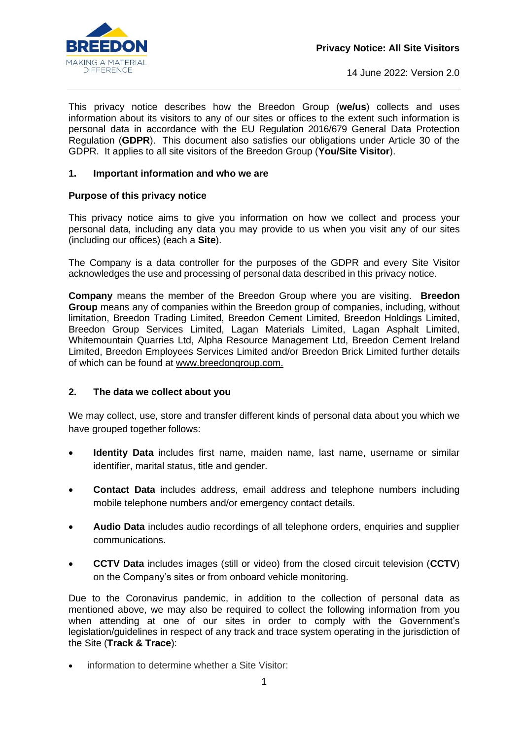

This privacy notice describes how the Breedon Group (**we/us**) collects and uses information about its visitors to any of our sites or offices to the extent such information is personal data in accordance with the EU Regulation 2016/679 General Data Protection Regulation (**GDPR**). This document also satisfies our obligations under Article 30 of the GDPR. It applies to all site visitors of the Breedon Group (**You/Site Visitor**).

## **1. Important information and who we are**

## **Purpose of this privacy notice**

This privacy notice aims to give you information on how we collect and process your personal data, including any data you may provide to us when you visit any of our sites (including our offices) (each a **Site**).

The Company is a data controller for the purposes of the GDPR and every Site Visitor acknowledges the use and processing of personal data described in this privacy notice.

**Company** means the member of the Breedon Group where you are visiting. **Breedon Group** means any of companies within the Breedon group of companies, including, without limitation, Breedon Trading Limited, Breedon Cement Limited, Breedon Holdings Limited, Breedon Group Services Limited, Lagan Materials Limited, Lagan Asphalt Limited, Whitemountain Quarries Ltd, Alpha Resource Management Ltd, Breedon Cement Ireland Limited, Breedon Employees Services Limited and/or Breedon Brick Limited further details of which can be found at [www.breedongroup.com.](http://www.breedongroup.com/)

## **2. The data we collect about you**

We may collect, use, store and transfer different kinds of personal data about you which we have grouped together follows:

- **Identity Data** includes first name, maiden name, last name, username or similar identifier, marital status, title and gender.
- **Contact Data** includes address, email address and telephone numbers including mobile telephone numbers and/or emergency contact details.
- **Audio Data** includes audio recordings of all telephone orders, enquiries and supplier communications.
- **CCTV Data** includes images (still or video) from the closed circuit television (**CCTV**) on the Company's sites or from onboard vehicle monitoring.

Due to the Coronavirus pandemic, in addition to the collection of personal data as mentioned above, we may also be required to collect the following information from you when attending at one of our sites in order to comply with the Government's legislation/guidelines in respect of any track and trace system operating in the jurisdiction of the Site (**Track & Trace**):

information to determine whether a Site Visitor: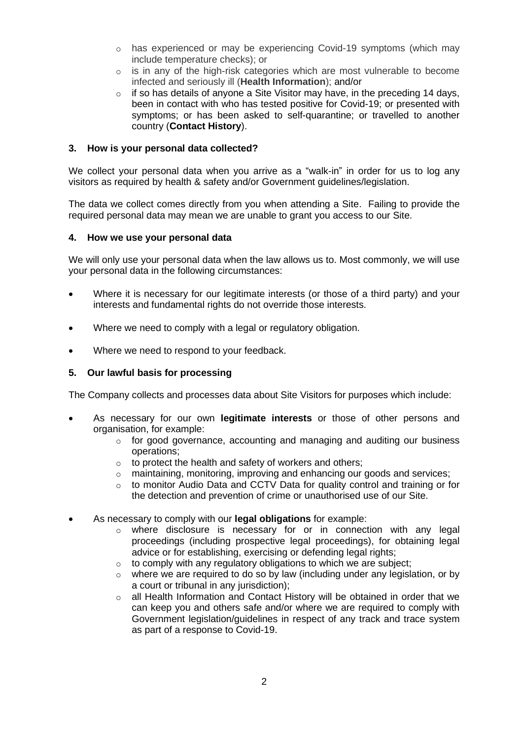- $\circ$  has experienced or may be experiencing Covid-19 symptoms (which may include temperature checks); or
- $\circ$  is in any of the high-risk categories which are most vulnerable to become infected and seriously ill (**Health Information**); and/or
- $\circ$  if so has details of anyone a Site Visitor may have, in the preceding 14 days, been in contact with who has tested positive for Covid-19; or presented with symptoms; or has been asked to self-quarantine; or travelled to another country (**Contact History**).

#### **3. How is your personal data collected?**

We collect your personal data when you arrive as a "walk-in" in order for us to log any visitors as required by health & safety and/or Government guidelines/legislation.

The data we collect comes directly from you when attending a Site. Failing to provide the required personal data may mean we are unable to grant you access to our Site.

#### **4. How we use your personal data**

We will only use your personal data when the law allows us to. Most commonly, we will use your personal data in the following circumstances:

- Where it is necessary for our legitimate interests (or those of a third party) and your interests and fundamental rights do not override those interests.
- Where we need to comply with a legal or regulatory obligation.
- Where we need to respond to your feedback.

## **5. Our lawful basis for processing**

The Company collects and processes data about Site Visitors for purposes which include:

- As necessary for our own **legitimate interests** or those of other persons and organisation, for example:
	- o for good governance, accounting and managing and auditing our business operations;
	- $\circ$  to protect the health and safety of workers and others;
	- o maintaining, monitoring, improving and enhancing our goods and services;
	- o to monitor Audio Data and CCTV Data for quality control and training or for the detection and prevention of crime or unauthorised use of our Site.
- As necessary to comply with our **legal obligations** for example:
	- $\circ$  where disclosure is necessary for or in connection with any legal proceedings (including prospective legal proceedings), for obtaining legal advice or for establishing, exercising or defending legal rights;
	- $\circ$  to comply with any regulatory obligations to which we are subject;
	- $\circ$  where we are required to do so by law (including under any legislation, or by a court or tribunal in any jurisdiction);
	- o all Health Information and Contact History will be obtained in order that we can keep you and others safe and/or where we are required to comply with Government legislation/guidelines in respect of any track and trace system as part of a response to Covid-19.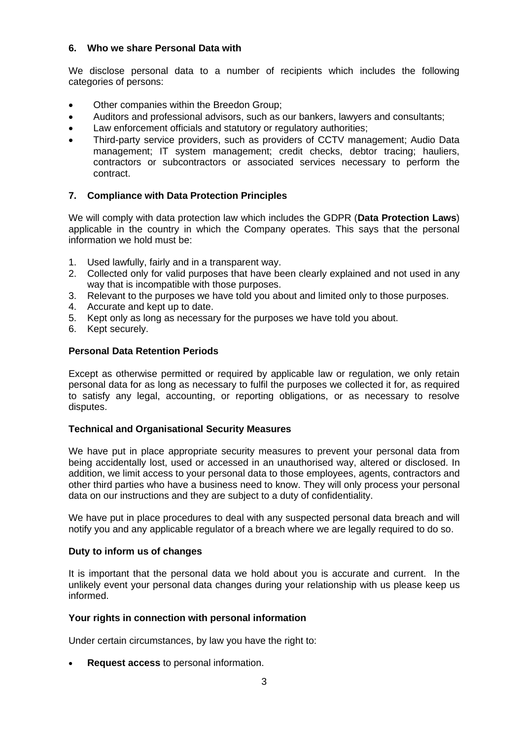## **6. Who we share Personal Data with**

We disclose personal data to a number of recipients which includes the following categories of persons:

- Other companies within the Breedon Group;
- Auditors and professional advisors, such as our bankers, lawyers and consultants;
- Law enforcement officials and statutory or regulatory authorities;
- Third-party service providers, such as providers of CCTV management; Audio Data management; IT system management; credit checks, debtor tracing; hauliers, contractors or subcontractors or associated services necessary to perform the contract.

# **7. Compliance with Data Protection Principles**

We will comply with data protection law which includes the GDPR (**Data Protection Laws**) applicable in the country in which the Company operates. This says that the personal information we hold must be:

- 1. Used lawfully, fairly and in a transparent way.
- 2. Collected only for valid purposes that have been clearly explained and not used in any way that is incompatible with those purposes.
- 3. Relevant to the purposes we have told you about and limited only to those purposes.
- 4. Accurate and kept up to date.
- 5. Kept only as long as necessary for the purposes we have told you about.
- 6. Kept securely.

## **Personal Data Retention Periods**

Except as otherwise permitted or required by applicable law or regulation, we only retain personal data for as long as necessary to fulfil the purposes we collected it for, as required to satisfy any legal, accounting, or reporting obligations, or as necessary to resolve disputes.

## **Technical and Organisational Security Measures**

We have put in place appropriate security measures to prevent your personal data from being accidentally lost, used or accessed in an unauthorised way, altered or disclosed. In addition, we limit access to your personal data to those employees, agents, contractors and other third parties who have a business need to know. They will only process your personal data on our instructions and they are subject to a duty of confidentiality.

We have put in place procedures to deal with any suspected personal data breach and will notify you and any applicable regulator of a breach where we are legally required to do so.

## **Duty to inform us of changes**

It is important that the personal data we hold about you is accurate and current. In the unlikely event your personal data changes during your relationship with us please keep us informed.

## **Your rights in connection with personal information**

Under certain circumstances, by law you have the right to:

• **Request access** to personal information.